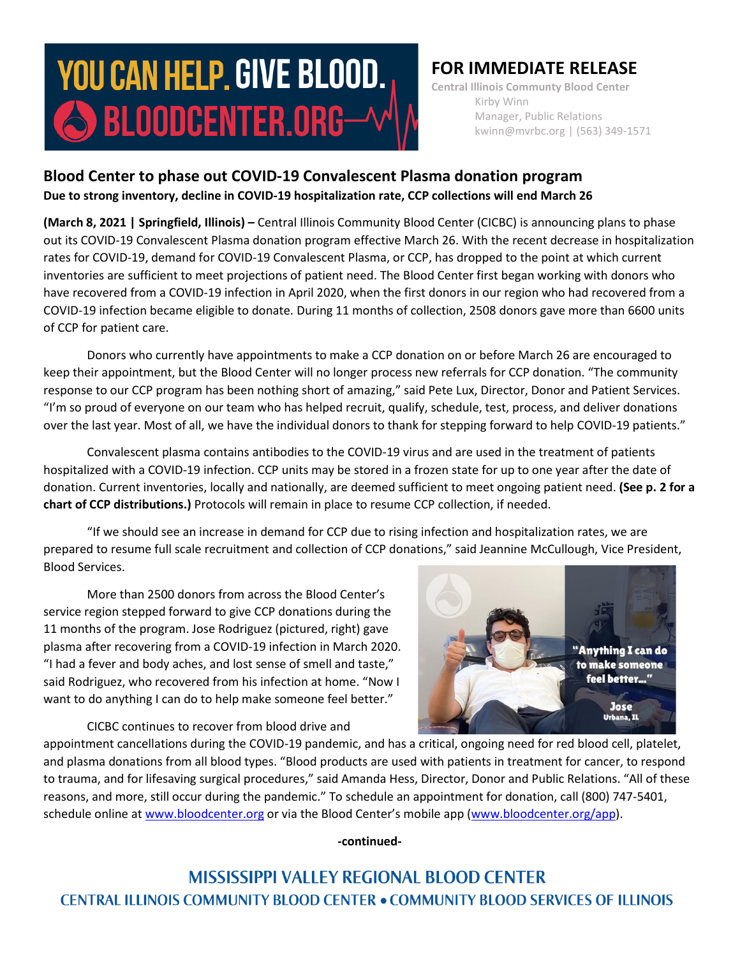# **YOU CAN HELP. GIVE BLOOD.**  $\bigcirc$  bloodcenter.org $-$

## **FOR IMMEDIATE RELEASE**

**Central Illinois Communty Blood Center** Kirby Winn Manager, Public Relations kwinn@mvrbc.org | (563) 349-1571

### **Blood Center to phase out COVID-19 Convalescent Plasma donation program Due to strong inventory, decline in COVID-19 hospitalization rate, CCP collections will end March 26**

**(March 8, 2021 | Springfield, Illinois) –** Central Illinois Community Blood Center (CICBC) is announcing plans to phase out its COVID-19 Convalescent Plasma donation program effective March 26. With the recent decrease in hospitalization rates for COVID-19, demand for COVID-19 Convalescent Plasma, or CCP, has dropped to the point at which current inventories are sufficient to meet projections of patient need. The Blood Center first began working with donors who have recovered from a COVID-19 infection in April 2020, when the first donors in our region who had recovered from a COVID-19 infection became eligible to donate. During 11 months of collection, 2508 donors gave more than 6600 units of CCP for patient care.

Donors who currently have appointments to make a CCP donation on or before March 26 are encouraged to keep their appointment, but the Blood Center will no longer process new referrals for CCP donation. "The community response to our CCP program has been nothing short of amazing," said Pete Lux, Director, Donor and Patient Services. "I'm so proud of everyone on our team who has helped recruit, qualify, schedule, test, process, and deliver donations over the last year. Most of all, we have the individual donors to thank for stepping forward to help COVID-19 patients."

Convalescent plasma contains antibodies to the COVID-19 virus and are used in the treatment of patients hospitalized with a COVID-19 infection. CCP units may be stored in a frozen state for up to one year after the date of donation. Current inventories, locally and nationally, are deemed sufficient to meet ongoing patient need. **(See p. 2 for a chart of CCP distributions.)** Protocols will remain in place to resume CCP collection, if needed.

"If we should see an increase in demand for CCP due to rising infection and hospitalization rates, we are prepared to resume full scale recruitment and collection of CCP donations," said Jeannine McCullough, Vice President, Blood Services.

More than 2500 donors from across the Blood Center's service region stepped forward to give CCP donations during the 11 months of the program. Jose Rodriguez (pictured, right) gave plasma after recovering from a COVID-19 infection in March 2020. "I had a fever and body aches, and lost sense of smell and taste," said Rodriguez, who recovered from his infection at home. "Now I want to do anything I can do to help make someone feel better."

"Anything I can do to make someone feel better...' **Jose** Urbana, IL

CICBC continues to recover from blood drive and

appointment cancellations during the COVID-19 pandemic, and has a critical, ongoing need for red blood cell, platelet, and plasma donations from all blood types. "Blood products are used with patients in treatment for cancer, to respond to trauma, and for lifesaving surgical procedures," said Amanda Hess, Director, Donor and Public Relations. "All of these reasons, and more, still occur during the pandemic." To schedule an appointment for donation, call (800) 747-5401, schedule online at [www.bloodcenter.org](http://www.bloodcenter.org/) or via the Blood Center's mobile app ([www.bloodcenter.org/app\)](http://www.bloodcenter.org/app).

**-continued-**

**MISSISSIPPI VALLEY REGIONAL BLOOD CENTER CENTRAL ILLINOIS COMMUNITY BLOOD CENTER . COMMUNITY BLOOD SERVICES OF ILLINOIS**